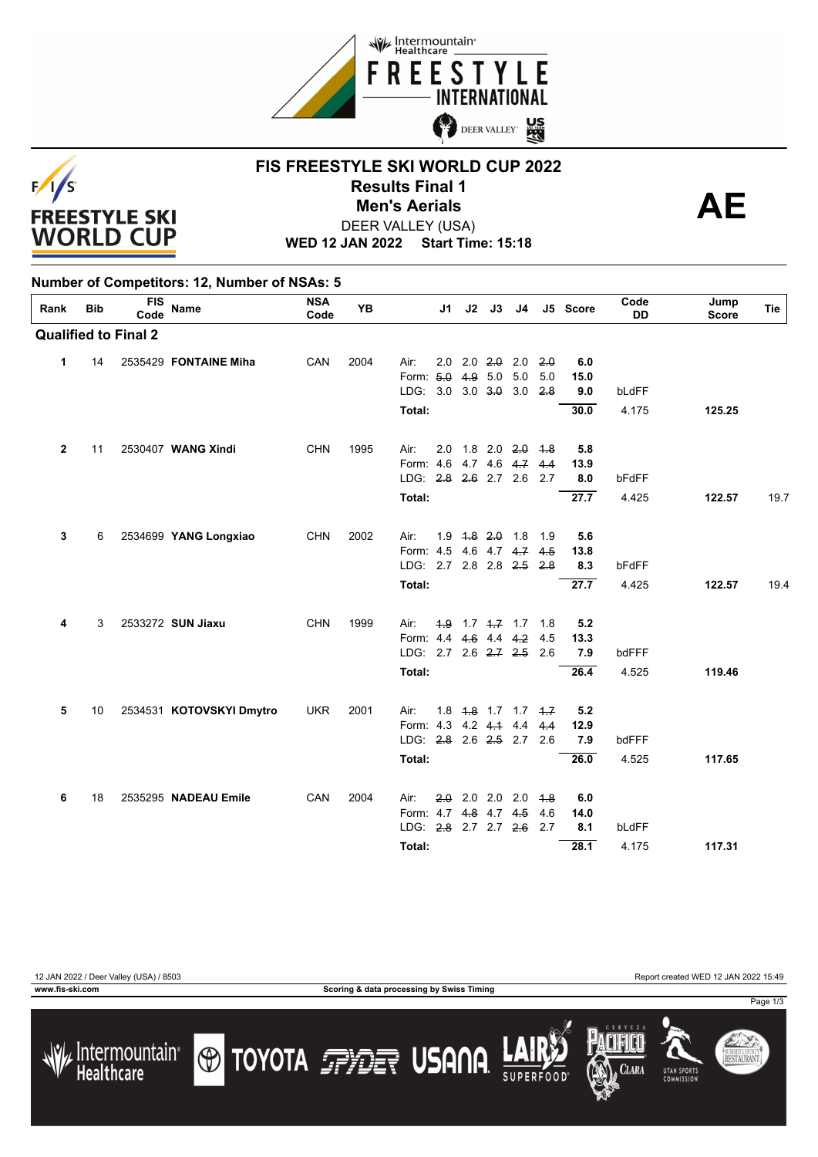



#### **FIS FREESTYLE SKI WORLD CUP 2022 Results Final 1**<br> **Men's Aerials**<br>
FER VALLEY (USA) DEER VALLEY (USA) **Men's Aerials**

**WED 12 JAN 2022 Start Time: 15:18**

#### **Number of Competitors: 12, Number of NSAs: 5**

| Rank         | <b>Bib</b> | <b>FIS</b><br>Code          | <b>Name</b>              | <b>NSA</b><br>Code | <b>YB</b> |                                   | J1 | J2                            | J3 | J4 |                               | J5 Score    | Code<br><b>DD</b> | Jump<br><b>Score</b> | Tie  |
|--------------|------------|-----------------------------|--------------------------|--------------------|-----------|-----------------------------------|----|-------------------------------|----|----|-------------------------------|-------------|-------------------|----------------------|------|
|              |            | <b>Qualified to Final 2</b> |                          |                    |           |                                   |    |                               |    |    |                               |             |                   |                      |      |
| $\mathbf{1}$ | 14         |                             | 2535429 FONTAINE Miha    | CAN                | 2004      | Air:                              |    | $2.0$ $2.0$ $2.0$ $2.0$ $2.0$ |    |    |                               | 6.0         |                   |                      |      |
|              |            |                             |                          |                    |           | Form: 5.0 4.9 5.0 5.0             |    |                               |    |    | 5.0                           | 15.0        |                   |                      |      |
|              |            |                             |                          |                    |           | LDG: 3.0 3.0 3.0 3.0 2.8          |    |                               |    |    |                               | 9.0         | bLdFF             |                      |      |
|              |            |                             |                          |                    |           | Total:                            |    |                               |    |    |                               | 30.0        | 4.175             | 125.25               |      |
| $\mathbf{2}$ | 11         |                             | 2530407 WANG Xindi       | <b>CHN</b>         | 1995      | Air:                              |    | $2.0$ 1.8 $2.0$ $2.0$ $4.8$   |    |    |                               | 5.8         |                   |                      |      |
|              |            |                             |                          |                    |           | Form: 4.6 4.7 4.6 4.7 4.4         |    |                               |    |    |                               | 13.9        |                   |                      |      |
|              |            |                             |                          |                    |           | LDG: 2.8 2.6 2.7 2.6 2.7          |    |                               |    |    |                               | 8.0         | bFdFF             |                      |      |
|              |            |                             |                          |                    |           | Total:                            |    |                               |    |    |                               | 27.7        | 4.425             | 122.57               | 19.7 |
| 3            | 6          |                             | 2534699 YANG Longxiao    | <b>CHN</b>         | 2002      | Air:                              |    | 1.9 4.8 2.0 1.8 1.9           |    |    |                               | 5.6         |                   |                      |      |
|              |            |                             |                          |                    |           | Form: 4.5 4.6 4.7 4.7             |    |                               |    |    | 4.5                           | 13.8        |                   |                      |      |
|              |            |                             |                          |                    |           | LDG: 2.7 2.8 2.8 2.5 2.8          |    |                               |    |    |                               | 8.3         | bFdFF             |                      |      |
|              |            |                             |                          |                    |           | Total:                            |    |                               |    |    |                               | 27.7        | 4.425             | 122.57               | 19.4 |
| 4            | 3          |                             | 2533272 SUN Jiaxu        | <b>CHN</b>         | 1999      | Air:                              |    | $4.9$ 1.7 $4.7$ 1.7 1.8       |    |    |                               | 5.2         |                   |                      |      |
|              |            |                             |                          |                    |           | Form: 4.4 4.6 4.4 4.2             |    |                               |    |    | 4.5                           | 13.3        |                   |                      |      |
|              |            |                             |                          |                    |           | LDG: 2.7 2.6 2.7 2.5              |    |                               |    |    | 2.6                           | 7.9         | bdFFF             |                      |      |
|              |            |                             |                          |                    |           | Total:                            |    |                               |    |    |                               | 26.4        | 4.525             | 119.46               |      |
|              |            |                             |                          |                    |           |                                   |    |                               |    |    |                               |             |                   |                      |      |
| 5            | 10         |                             | 2534531 KOTOVSKYI Dmytro | <b>UKR</b>         | 2001      | Air:<br>Form: 4.3 4.2 4.4 4.4 4.4 |    |                               |    |    | $1.8$ $1.8$ $1.7$ $1.7$ $1.7$ | 5.2<br>12.9 |                   |                      |      |
|              |            |                             |                          |                    |           | LDG: 2.8 2.6 2.5 2.7 2.6          |    |                               |    |    |                               | 7.9         | bdFFF             |                      |      |
|              |            |                             |                          |                    |           | Total:                            |    |                               |    |    |                               | 26.0        | 4.525             | 117.65               |      |
|              |            |                             |                          |                    |           |                                   |    |                               |    |    |                               |             |                   |                      |      |
| 6            | 18         |                             | 2535295 NADEAU Emile     | CAN                | 2004      | Air:                              |    | $2.0$ 2.0 2.0 2.0 4.8         |    |    |                               | 6.0         |                   |                      |      |
|              |            |                             |                          |                    |           | Form: 4.7 4.8 4.7 4.5             |    |                               |    |    | 4.6                           | 14.0        |                   |                      |      |
|              |            |                             |                          |                    |           | LDG: 2.8 2.7 2.7 2.6 2.7          |    |                               |    |    |                               | 8.1         | bLdFF             |                      |      |
|              |            |                             |                          |                    |           | Total:                            |    |                               |    |    |                               | 28.1        | 4.175             | 117.31               |      |



12 JAN 2022 / Deer Valley (USA) / 8503 Report created WED 12 JAN 2022 15:49







Page 1/3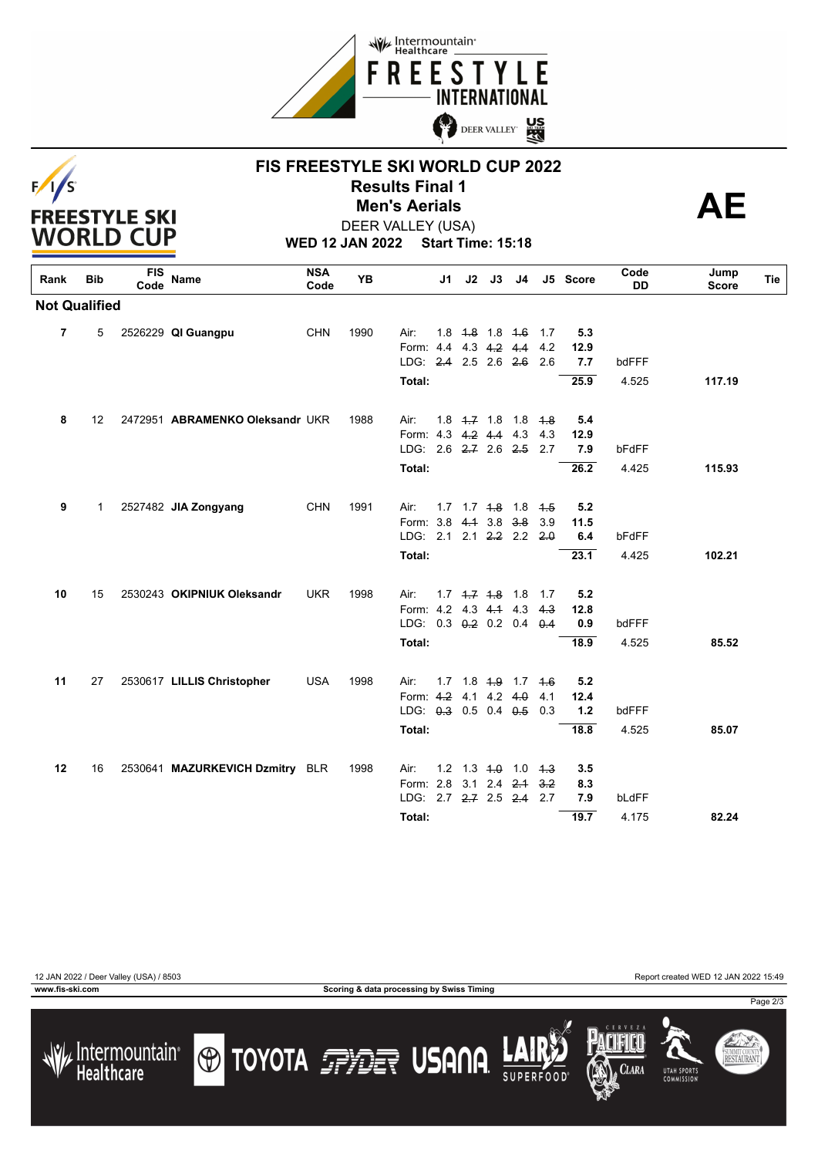



## **FIS FREESTYLE SKI WORLD CUP 2022 Results Final 1**<br> **Men's Aerials**<br>
FER VALLEY (USA) **Men's Aerials**



**WED 12 JAN 2022 Start Time: 15:18** DEER VALLEY (USA)

| Rank                 | <b>Bib</b>  | <b>FIS</b><br>Code | Name                            | <b>NSA</b><br>Code | <b>YB</b> |                              | J1 |  |                         | J2 J3 J4            |             | J5 Score | Code<br><b>DD</b> | Jump<br><b>Score</b> | Tie |
|----------------------|-------------|--------------------|---------------------------------|--------------------|-----------|------------------------------|----|--|-------------------------|---------------------|-------------|----------|-------------------|----------------------|-----|
| <b>Not Qualified</b> |             |                    |                                 |                    |           |                              |    |  |                         |                     |             |          |                   |                      |     |
| 7                    | 5           |                    | 2526229 QI Guangpu              | <b>CHN</b>         | 1990      | Air:                         |    |  | $1.8$ $1.8$ $1.8$ $1.6$ |                     | $-1.7$      | 5.3      |                   |                      |     |
|                      |             |                    |                                 |                    |           | Form: 4.4 4.3 4.2 4.4        |    |  |                         |                     | 4.2         | 12.9     |                   |                      |     |
|                      |             |                    |                                 |                    |           | LDG: 2.4 2.5 2.6 2.6         |    |  |                         |                     | - 2.6       | 7.7      | bdFFF             |                      |     |
|                      |             |                    |                                 |                    |           | Total:                       |    |  |                         |                     |             | 25.9     | 4.525             | 117.19               |     |
| 8                    | 12          |                    | 2472951 ABRAMENKO Oleksandr UKR |                    | 1988      | Air:                         |    |  | $1.8 +7 + 1.8 + 1.8$    |                     | $-4.8$      | 5.4      |                   |                      |     |
|                      |             |                    |                                 |                    |           | Form: 4.3 4.2 4.4 4.3        |    |  |                         |                     | 4.3         | 12.9     |                   |                      |     |
|                      |             |                    |                                 |                    |           | LDG: 2.6 2.7 2.6 2.5         |    |  |                         |                     | 2.7         | 7.9      | bFdFF             |                      |     |
|                      |             |                    |                                 |                    |           | <b>Total:</b>                |    |  |                         |                     |             | 26.2     | 4.425             | 115.93               |     |
|                      |             |                    |                                 |                    |           |                              |    |  |                         |                     |             |          |                   |                      |     |
| 9                    | $\mathbf 1$ |                    | 2527482 JIA Zongyang            | <b>CHN</b>         | 1991      | Air:                         |    |  |                         | 1.7 1.7 4.8 1.8 4.5 |             | 5.2      |                   |                      |     |
|                      |             |                    |                                 |                    |           | Form: 3.8                    |    |  | $4.1 \t3.8 \t3.8$       |                     | 3.9         | 11.5     |                   |                      |     |
|                      |             |                    |                                 |                    |           | LDG: 2.1 2.1 2.2 2.2         |    |  |                         |                     | 2.0         | 6.4      | bFdFF             |                      |     |
|                      |             |                    |                                 |                    |           | Total:                       |    |  |                         |                     |             | 23.1     | 4.425             | 102.21               |     |
|                      |             |                    |                                 |                    |           |                              |    |  |                         |                     |             |          |                   |                      |     |
| 10                   | 15          |                    | 2530243 OKIPNIUK Oleksandr      | <b>UKR</b>         | 1998      | Air:                         |    |  | $1.7$ $4.7$ $4.8$ $1.8$ |                     | 1.7         | 5.2      |                   |                      |     |
|                      |             |                    |                                 |                    |           | Form: 4.2 4.3 4.4 4.3        |    |  |                         |                     | 4.3         | 12.8     |                   |                      |     |
|                      |             |                    |                                 |                    |           | LDG: $0.3$ $0.2$ $0.2$ $0.4$ |    |  |                         |                     | $\theta$ .4 | 0.9      | bdFFF             |                      |     |
|                      |             |                    |                                 |                    |           | Total:                       |    |  |                         |                     |             | 18.9     | 4.525             | 85.52                |     |
| 11                   | 27          |                    | 2530617 LILLIS Christopher      | <b>USA</b>         | 1998      | Air:                         |    |  |                         | 1.7 1.8 4.9 1.7 4.6 |             | 5.2      |                   |                      |     |
|                      |             |                    |                                 |                    |           | Form: 4.2 4.1 4.2 4.0        |    |  |                         |                     | 4.1         | 12.4     |                   |                      |     |
|                      |             |                    |                                 |                    |           | LDG: 0.3 0.5 0.4 0.5         |    |  |                         |                     | 0.3         | $1.2$    | bdFFF             |                      |     |
|                      |             |                    |                                 |                    |           | <b>Total:</b>                |    |  |                         |                     |             | 18.8     | 4.525             | 85.07                |     |
| 12                   | 16          |                    | 2530641 MAZURKEVICH Dzmitry BLR |                    | 1998      | Air:                         |    |  |                         | 1.2  1.3 $4.0$ 1.0  | 4.3         | 3.5      |                   |                      |     |
|                      |             |                    |                                 |                    |           | Form: 2.8                    |    |  |                         | $3.1$ 2.4 $2.4$     | 3.2         | 8.3      |                   |                      |     |
|                      |             |                    |                                 |                    |           | LDG: 2.7 2.7 2.5 2.4         |    |  |                         |                     | 2.7         | 7.9      | bLdFF             |                      |     |
|                      |             |                    |                                 |                    |           | Total:                       |    |  |                         |                     |             | 19.7     | 4.175             | 82.24                |     |
|                      |             |                    |                                 |                    |           |                              |    |  |                         |                     |             |          |                   |                      |     |

**www.fis-ski.com Scoring & data processing by Swiss Timing**

12 JAN 2022 / Deer Valley (USA) / 8503 Report created WED 12 JAN 2022 15:49